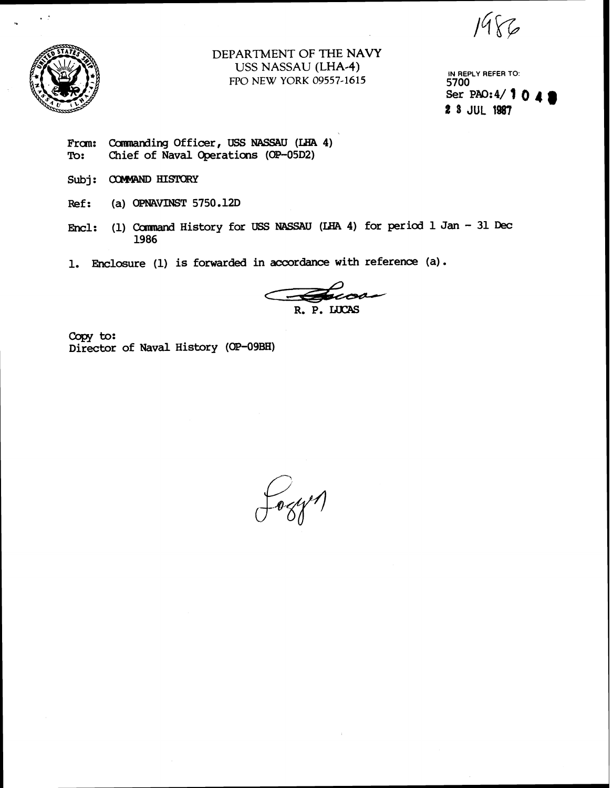$1986$ 



 $\sim$   $\beta$ 

**DEPARTMENT OF THE NAVY USS NASSAU (LHA-4)**  FPO **NEW** YORK 09557-1615

**IN REPLY REFER TO: 5700**  Ser PAO: 4/ **1 0 4** # **8 JUL 1987** 

- From: Commanding Officer, USS NASSAU (LHA 4)<br>To: Chief of Naval Operations (OP-05D2) **To: Chief of Naval Operations (OR-05D2)**
- Subj: **COMMAND HISTORY**
- **: (a)** OPNAVINST **5750.12D**
- Encl: **(1)** Camrand **History for USS** NASSAU (LIIA **4) for per id 1 Jan 31 Dec 1986**
- **1. Enclosure (1) is forwarded in accordance with reference (a).**

R. P. LUCAS

Copy to: **Director of Naval History (W-09BH)** 

fogyn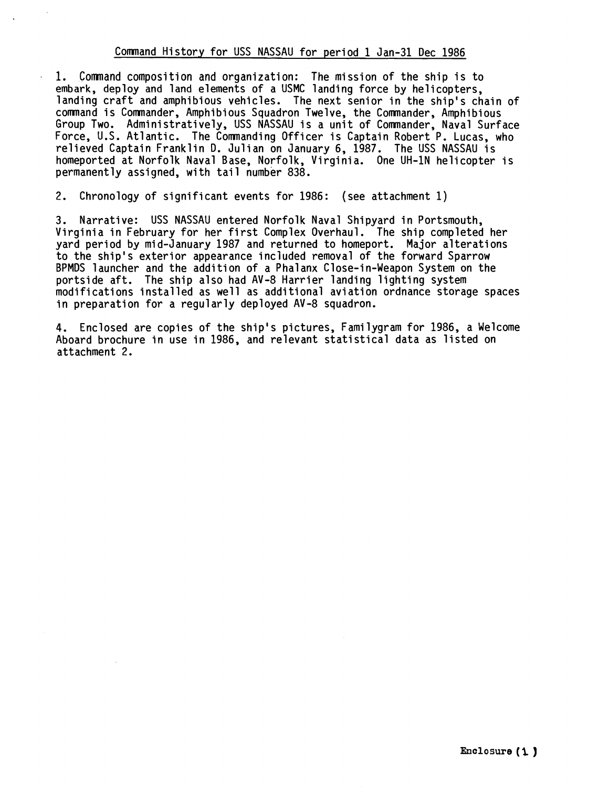# Comnand History for USS NASSAU for period 1 Jan-31 Dec 1986

1. Comnand composition and organization: The mission of the ship is to embark, deploy and land elements of a USMC landing force by helicopters, landing craft and amphibious vehicles. The next senior in the ship's chain of comnand is Comnander, Amphibious Squadron Twelve, the Comnander, Amphibious Group Two. Administratively, USS NASSAU is a unit of Comnander, Naval Surface Force, U.S. Atlantic. The Comnanding Officer is Captain Robert P. Lucas, who relieved Captain Franklin D. Julian on January 6, 1987. The USS NASSAU is homeported at Norfolk Naval Base, Norfolk, Virginia. One UH-1N helicopter is permanently assigned, with tail number 838.

2. Chronology of significant events for 1986: (see attachment 1)

3. Narrative: USS NASSAU entered Norfolk Naval Shipyard in Portsmouth, Virginia in February for her first Complex Overhaul. The ship completed her yard period by mid-January 1987 and returned to homeport. Major alterations to the ship's exterior appearance included removal of the forward Sparrow BPMDS launcher and the addition of a Phalanx Close-in-Weapon System on the portside aft. The ship also had AV-8 Harrier landing lighting system modifications installed as well as additional aviation ordnance storage spaces in preparation for a regularly deployed AV-8 squadron.

**4.** Enclosed are copies of the ship's pictures, Familygram for 1986, a Welcome Aboard brochure in use in 1986, and relevant statistical data as listed on attachment 2.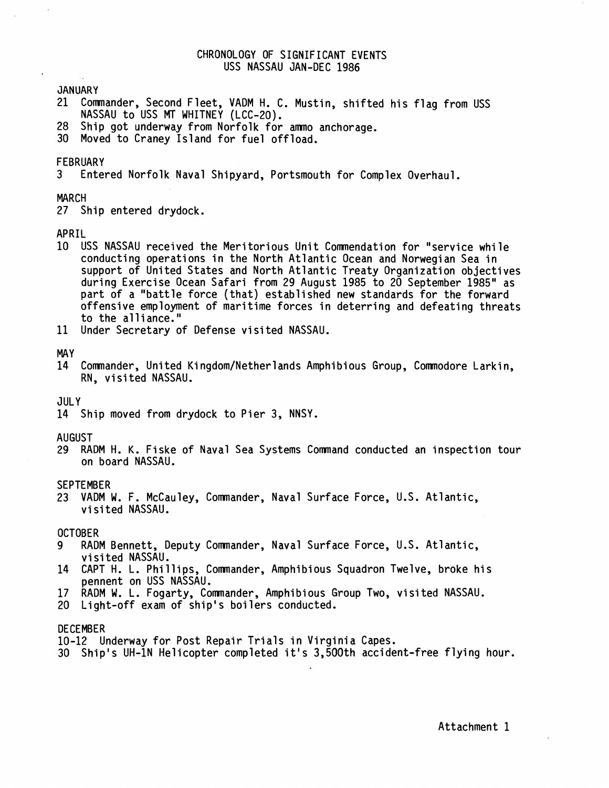## CHRONOLOGY OF SIGNIFICANT EVENTS USS NASSAU JAN-DEC 1986

JANUARY

- 21 Commander, Second Fleet, VADM H. C. Mustin, shifted his flag from USS NASSAU to USS **MT** WHITNEY (LCC-20).
- 28 Ship got underway from Norfolk for ammo anchorage.
- 30 Moved to Craney Island for fuel offload.

# FEBRUARY<br>3 Fnter

3 Entered Norfolk Naval Shipyard, Portsmouth for Complex Overhaul.

### MARCH

27 Ship entered drydock.

#### APRIL

- 10 USS NASSAU received the Meritorious Unit Commendation for "service while conducting operations in the North Atlantic Ocean and Norwegian Sea in support of United States and North Atlantic Treaty Organization objectives during Exercise Ocean Safari from 29 August 1985 to 20 September 1985" as part of a "battle force (that) established new standards for the forward offensive employment of maritime forces in deterring and defeating threats to the alliance."
- 11 Under Secretary of Defense visited NASSAU.

#### MAY

14 Commander, United Kingdom/Netherlands Amphibious Group, Commodore Larkin, RN, visited NASSAU.

#### JULY

14 Ship moved from drydock to Pier 3, NNSY.

## AUGUST

29 RADM H. K. Fiske of Naval Sea Systems Comand conducted an inspection tour on board NASSAU.

#### SEPTEMBER

23 VADM W. F. McCauley, Commander, Naval Surface Force, U.S. Atlantic, visited NASSAU.

## OCTOBER

- 9 RADM Bennett, Deputy Comnander, Naval Surface Force, U.S. Atlantic, visited NASSAU.
- 14 CAPT H. L. Phillips, Comnander, Amphibious Squadron Twelve, broke his pennent on USS NASSAU.
- 17 RADM W. L. Fogarty, Comnander, Amphibious Group Two, visited NASSAU.
- 20 Light-off exam of ship's boilers conducted.

#### DECEMBER

- 10-12 Underway for Post Repair Trials in Virginia Capes.
- 30 Ship's UH-1N Helicopter completed i t's 3,500th accident-free flying hour.